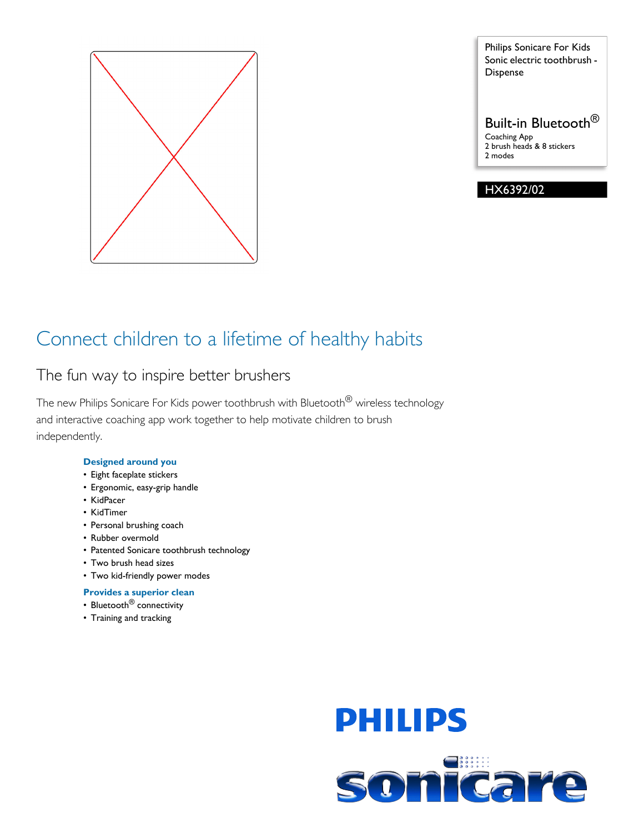

Philips Sonicare For Kids Sonic electric toothbrush - Dispense

Built-in Bluetooth® Coaching App 2 brush heads & 8 stickers 2 modes

HX6392/02

## Connect children to a lifetime of healthy habits

## The fun way to inspire better brushers

The new Philips Sonicare For Kids power toothbrush with Bluetooth<sup>®</sup> wireless technology and interactive coaching app work together to help motivate children to brush independently.

## **Designed around you**

- Eight faceplate stickers
- Ergonomic, easy-grip handle
- KidPacer
- KidTimer
- Personal brushing coach
- Rubber overmold
- Patented Sonicare toothbrush technology
- Two brush head sizes
- Two kid-friendly power modes
- **Provides a superior clean**
- Bluetooth<sup>®</sup> connectivity
- Training and tracking